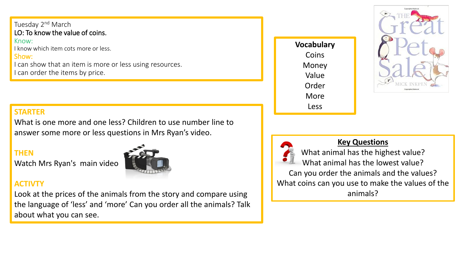## Tuesday 2<sup>nd</sup> March LO: To know the value of coins. Know: I know which item cots more or less. Show: I can show that an item is more or less using resources. I can order the items by price.

## **STARTER**

What is one more and one less? Children to use number line to answer some more or less questions in Mrs Ryan's video.

## **THEN**

Watch Mrs Ryan's main video



## **ACTIVTY**

Look at the prices of the animals from the story and compare using the language of 'less' and 'more' Can you order all the animals? Talk about what you can see.

**Vocabulary** Coins Money Value Order More Less



**Key Questions** What animal has the highest value? What animal has the lowest value? Can you order the animals and the values? What coins can you use to make the values of the animals?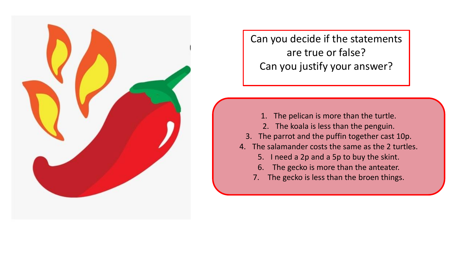

Can you decide if the statements are true or false? Can you justify your answer?

- 1. The pelican is more than the turtle.
- 2. The koala is less than the penguin.
- 3. The parrot and the puffin together cast 10p.
- 4. The salamander costs the same as the 2 turtles.
	- 5. I need a 2p and a 5p to buy the skint.
	- 6. The gecko is more than the anteater.
	- 7. The gecko is less than the broen things.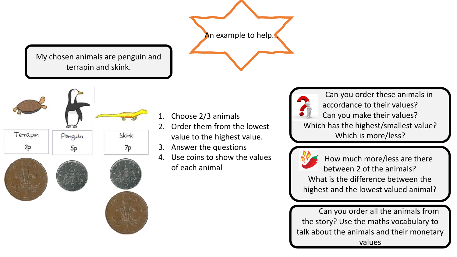My chosen animals are penguin and terrapin and skink.



Terrapin Skink Penguin  $2p$ 7p 5<sub>p</sub>

- 1. Choose 2/3 animals
- 2. Order them from the lowest value to the highest value.
- 3. Answer the questions
- 4. Use coins to show the values of each animal



Can you order these animals in accordance to their values? Can you make their values? Which has the highest/smallest value? Which is more/less?



How much more/less are there between 2 of the animals? What is the difference between the highest and the lowest valued animal?

Can you order all the animals from the story? Use the maths vocabulary to talk about the animals and their monetary values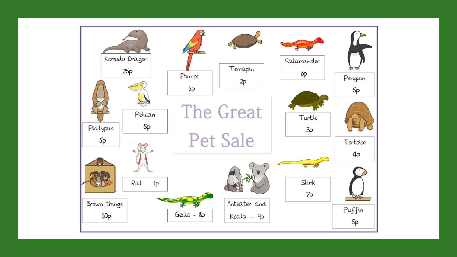